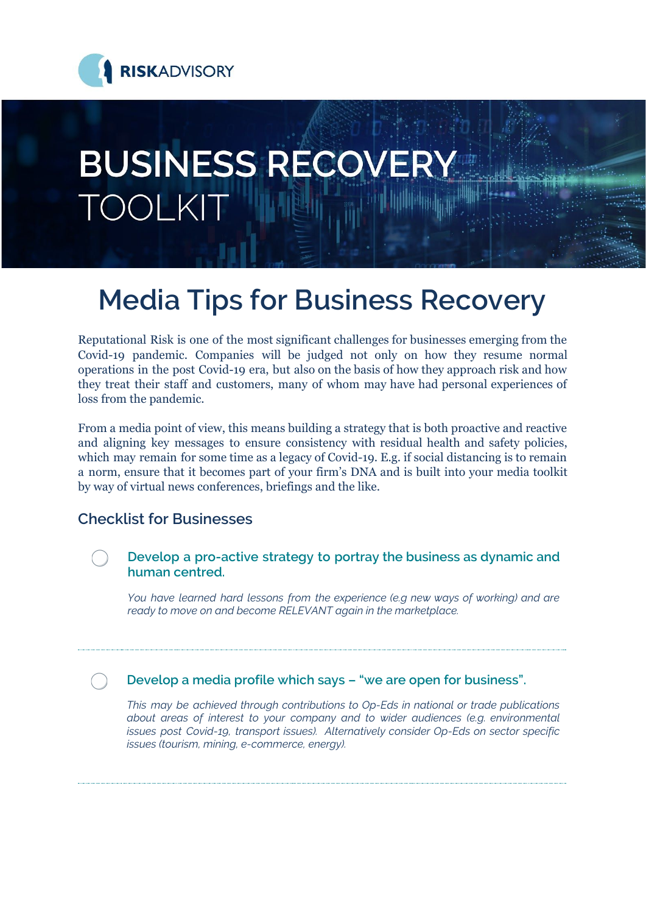

# **BUSINESS RECOVERY TOOLKI**

# **Media Tips for Business Recovery**

Reputational Risk is one of the most significant challenges for businesses emerging from the Covid-19 pandemic. Companies will be judged not only on how they resume normal operations in the post Covid-19 era, but also on the basis of how they approach risk and how they treat their staff and customers, many of whom may have had personal experiences of loss from the pandemic.

From a media point of view, this means building a strategy that is both proactive and reactive and aligning key messages to ensure consistency with residual health and safety policies, which may remain for some time as a legacy of Covid-19. E.g. if social distancing is to remain a norm, ensure that it becomes part of your firm's DNA and is built into your media toolkit by way of virtual news conferences, briefings and the like.

### **Checklist for Businesses**



*You have learned hard lessons from the experience (e.g new ways of working) and are ready to move on and become RELEVANT again in the marketplace.*

**Develop a media profile which says – "we are open for business".**

*This may be achieved through contributions to Op-Eds in national or trade publications about areas of interest to your company and to wider audiences (e.g. environmental issues post Covid-19, transport issues). Alternatively consider Op-Eds on sector specific issues (tourism, mining, e-commerce, energy).*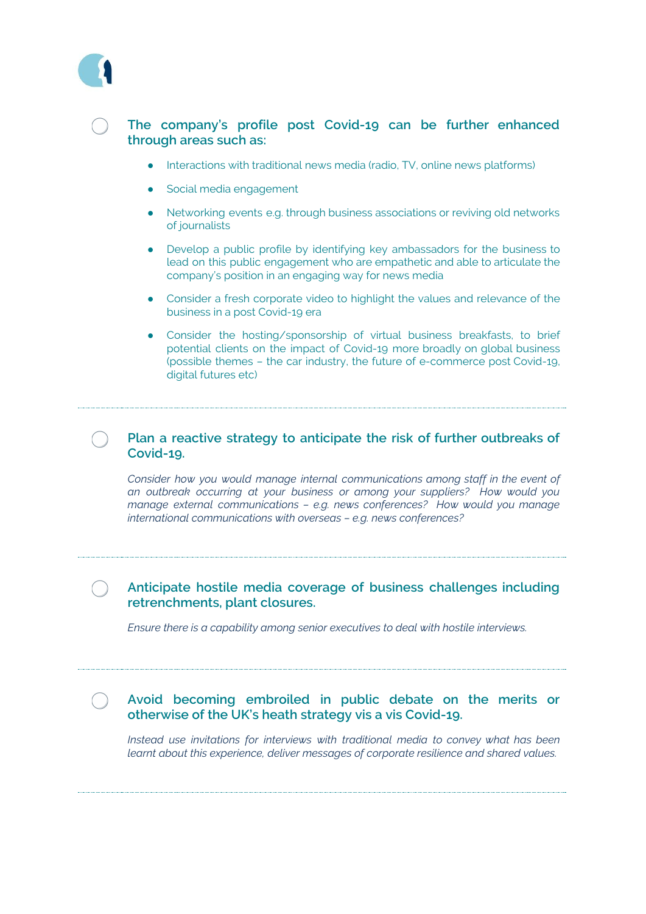

#### **The company's profile post Covid-19 can be further enhanced through areas such as:**

- Interactions with traditional news media (radio, TV, online news platforms)
- Social media engagement
- Networking events e.g. through business associations or reviving old networks of journalists
- Develop a public profile by identifying key ambassadors for the business to lead on this public engagement who are empathetic and able to articulate the company's position in an engaging way for news media
- Consider a fresh corporate video to highlight the values and relevance of the business in a post Covid-19 era
- Consider the hosting/sponsorship of virtual business breakfasts, to brief potential clients on the impact of Covid-19 more broadly on global business (possible themes – the car industry, the future of e-commerce post Covid-19, digital futures etc)

#### **Plan a reactive strategy to anticipate the risk of further outbreaks of Covid-19.**

*Consider how you would manage internal communications among staff in the event of an outbreak occurring at your business or among your suppliers? How would you manage external communications – e.g. news conferences? How would you manage international communications with overseas – e.g. news conferences?*

#### **Anticipate hostile media coverage of business challenges including retrenchments, plant closures.**

*Ensure there is a capability among senior executives to deal with hostile interviews.*

#### **Avoid becoming embroiled in public debate on the merits or otherwise of the UK's heath strategy vis a vis Covid-19.**

*Instead use invitations for interviews with traditional media to convey what has been learnt about this experience, deliver messages of corporate resilience and shared values.*